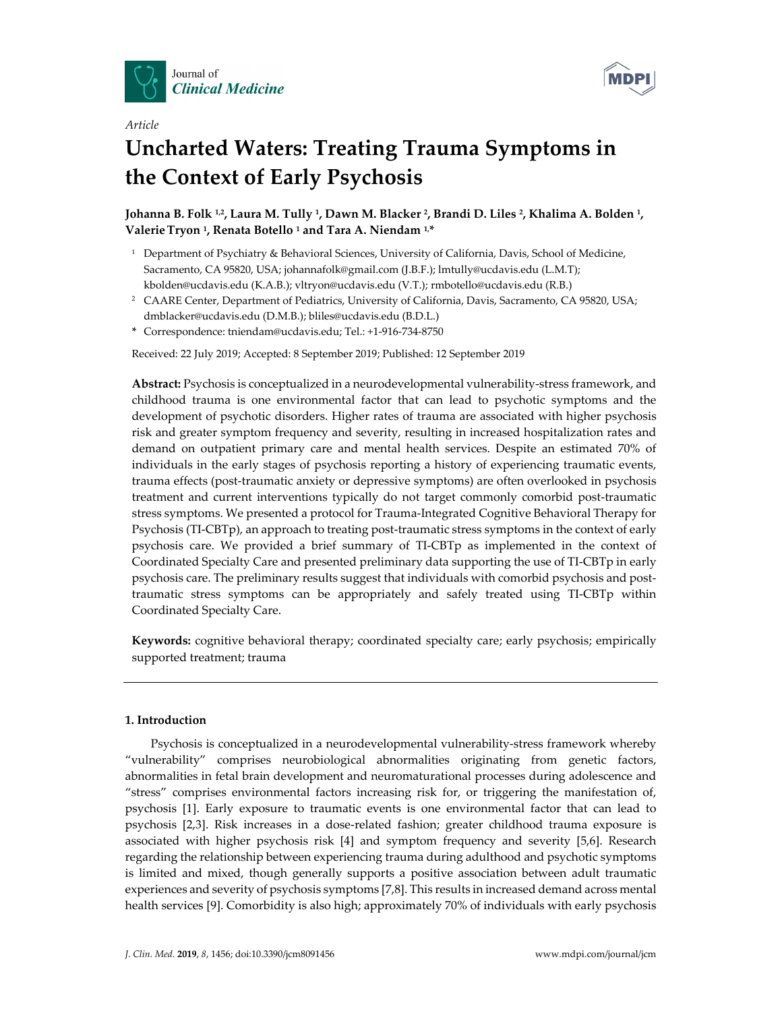

*Article* 



# **Uncharted Waters: Treating Trauma Symptoms in the Context of Early Psychosis**

Johanna B. Folk <sup>1,2</sup>, Laura M. Tully <sup>1</sup>, Dawn M. Blacker <sup>2</sup>, Brandi D. Liles <sup>2</sup>, Khalima A. Bolden <sup>1</sup>, **ValerieTryon 1, Renata Botello 1 and Tara A. Niendam 1,\*** 

- <sup>1</sup> Department of Psychiatry & Behavioral Sciences, University of California, Davis, School of Medicine, Sacramento, CA 95820, USA; johannafolk@gmail.com (J.B.F.); lmtully@ucdavis.edu (L.M.T); kbolden@ucdavis.edu (K.A.B.); vltryon@ucdavis.edu (V.T.); rmbotello@ucdavis.edu (R.B.)
- <sup>2</sup> CAARE Center, Department of Pediatrics, University of California, Davis, Sacramento, CA 95820, USA; dmblacker@ucdavis.edu (D.M.B.); bliles@ucdavis.edu (B.D.L.)
- **\*** Correspondence: tniendam@ucdavis.edu; Tel.: +1-916-734-8750

Received: 22 July 2019; Accepted: 8 September 2019; Published: 12 September 2019

**Abstract:** Psychosis is conceptualized in a neurodevelopmental vulnerability-stress framework, and childhood trauma is one environmental factor that can lead to psychotic symptoms and the development of psychotic disorders. Higher rates of trauma are associated with higher psychosis risk and greater symptom frequency and severity, resulting in increased hospitalization rates and demand on outpatient primary care and mental health services. Despite an estimated 70% of individuals in the early stages of psychosis reporting a history of experiencing traumatic events, trauma effects (post-traumatic anxiety or depressive symptoms) are often overlooked in psychosis treatment and current interventions typically do not target commonly comorbid post-traumatic stress symptoms. We presented a protocol for Trauma-Integrated Cognitive Behavioral Therapy for Psychosis (TI-CBTp), an approach to treating post-traumatic stress symptoms in the context of early psychosis care. We provided a brief summary of TI-CBTp as implemented in the context of Coordinated Specialty Care and presented preliminary data supporting the use of TI-CBTp in early psychosis care. The preliminary results suggest that individuals with comorbid psychosis and posttraumatic stress symptoms can be appropriately and safely treated using TI-CBTp within Coordinated Specialty Care.

**Keywords:** cognitive behavioral therapy; coordinated specialty care; early psychosis; empirically supported treatment; trauma

# **1. Introduction**

Psychosis is conceptualized in a neurodevelopmental vulnerability-stress framework whereby "vulnerability" comprises neurobiological abnormalities originating from genetic factors, abnormalities in fetal brain development and neuromaturational processes during adolescence and "stress" comprises environmental factors increasing risk for, or triggering the manifestation of, psychosis [1]. Early exposure to traumatic events is one environmental factor that can lead to psychosis [2,3]. Risk increases in a dose-related fashion; greater childhood trauma exposure is associated with higher psychosis risk [4] and symptom frequency and severity [5,6]. Research regarding the relationship between experiencing trauma during adulthood and psychotic symptoms is limited and mixed, though generally supports a positive association between adult traumatic experiences and severity of psychosis symptoms [7,8]. This results in increased demand across mental health services [9]. Comorbidity is also high; approximately 70% of individuals with early psychosis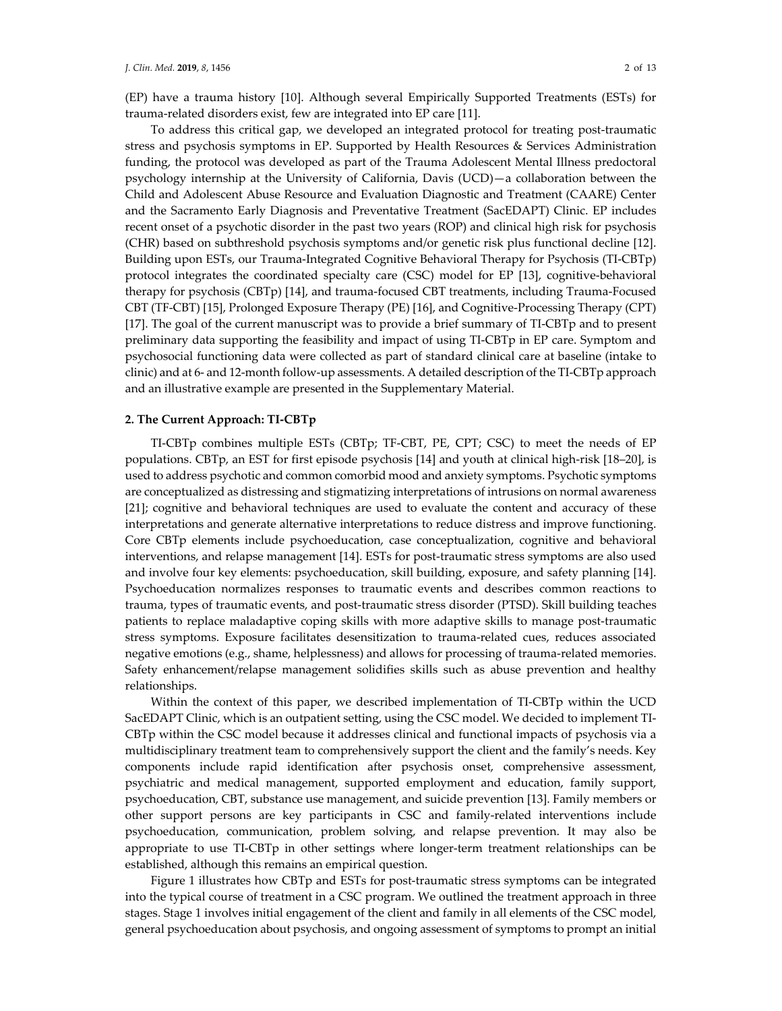(EP) have a trauma history [10]. Although several Empirically Supported Treatments (ESTs) for trauma-related disorders exist, few are integrated into EP care [11].

To address this critical gap, we developed an integrated protocol for treating post-traumatic stress and psychosis symptoms in EP. Supported by Health Resources & Services Administration funding, the protocol was developed as part of the Trauma Adolescent Mental Illness predoctoral psychology internship at the University of California, Davis (UCD)—a collaboration between the Child and Adolescent Abuse Resource and Evaluation Diagnostic and Treatment (CAARE) Center and the Sacramento Early Diagnosis and Preventative Treatment (SacEDAPT) Clinic. EP includes recent onset of a psychotic disorder in the past two years (ROP) and clinical high risk for psychosis (CHR) based on subthreshold psychosis symptoms and/or genetic risk plus functional decline [12]. Building upon ESTs, our Trauma-Integrated Cognitive Behavioral Therapy for Psychosis (TI-CBTp) protocol integrates the coordinated specialty care (CSC) model for EP [13], cognitive-behavioral therapy for psychosis (CBTp) [14], and trauma-focused CBT treatments, including Trauma-Focused CBT (TF-CBT) [15], Prolonged Exposure Therapy (PE) [16], and Cognitive-Processing Therapy (CPT) [17]. The goal of the current manuscript was to provide a brief summary of TI-CBTp and to present preliminary data supporting the feasibility and impact of using TI-CBTp in EP care. Symptom and psychosocial functioning data were collected as part of standard clinical care at baseline (intake to clinic) and at 6- and 12-month follow-up assessments. A detailed description of the TI-CBTp approach and an illustrative example are presented in the Supplementary Material.

## **2. The Current Approach: TI-CBTp**

TI-CBTp combines multiple ESTs (CBTp; TF-CBT, PE, CPT; CSC) to meet the needs of EP populations. CBTp, an EST for first episode psychosis [14] and youth at clinical high-risk [18–20], is used to address psychotic and common comorbid mood and anxiety symptoms. Psychotic symptoms are conceptualized as distressing and stigmatizing interpretations of intrusions on normal awareness [21]; cognitive and behavioral techniques are used to evaluate the content and accuracy of these interpretations and generate alternative interpretations to reduce distress and improve functioning. Core CBTp elements include psychoeducation, case conceptualization, cognitive and behavioral interventions, and relapse management [14]. ESTs for post-traumatic stress symptoms are also used and involve four key elements: psychoeducation, skill building, exposure, and safety planning [14]. Psychoeducation normalizes responses to traumatic events and describes common reactions to trauma, types of traumatic events, and post-traumatic stress disorder (PTSD). Skill building teaches patients to replace maladaptive coping skills with more adaptive skills to manage post-traumatic stress symptoms. Exposure facilitates desensitization to trauma-related cues, reduces associated negative emotions (e.g., shame, helplessness) and allows for processing of trauma-related memories. Safety enhancement/relapse management solidifies skills such as abuse prevention and healthy relationships.

Within the context of this paper, we described implementation of TI-CBTp within the UCD SacEDAPT Clinic, which is an outpatient setting, using the CSC model. We decided to implement TI-CBTp within the CSC model because it addresses clinical and functional impacts of psychosis via a multidisciplinary treatment team to comprehensively support the client and the family's needs. Key components include rapid identification after psychosis onset, comprehensive assessment, psychiatric and medical management, supported employment and education, family support, psychoeducation, CBT, substance use management, and suicide prevention [13]. Family members or other support persons are key participants in CSC and family-related interventions include psychoeducation, communication, problem solving, and relapse prevention. It may also be appropriate to use TI-CBTp in other settings where longer-term treatment relationships can be established, although this remains an empirical question.

Figure 1 illustrates how CBTp and ESTs for post-traumatic stress symptoms can be integrated into the typical course of treatment in a CSC program. We outlined the treatment approach in three stages. Stage 1 involves initial engagement of the client and family in all elements of the CSC model, general psychoeducation about psychosis, and ongoing assessment of symptoms to prompt an initial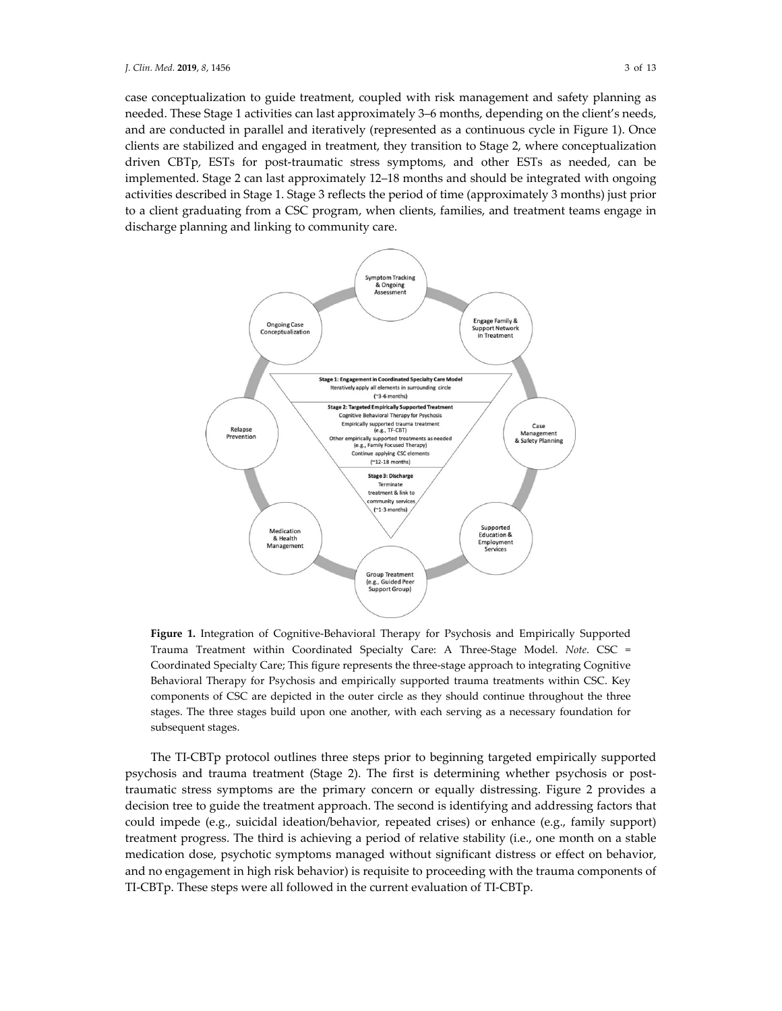case conceptualization to guide treatment, coupled with risk management and safety planning as needed. These Stage 1 activities can last approximately 3–6 months, depending on the client's needs, and are conducted in parallel and iteratively (represented as a continuous cycle in Figure 1). Once clients are stabilized and engaged in treatment, they transition to Stage 2, where conceptualization driven CBTp, ESTs for post-traumatic stress symptoms, and other ESTs as needed, can be implemented. Stage 2 can last approximately 12–18 months and should be integrated with ongoing activities described in Stage 1. Stage 3 reflects the period of time (approximately 3 months) just prior to a client graduating from a CSC program, when clients, families, and treatment teams engage in discharge planning and linking to community care.



**Figure 1.** Integration of Cognitive-Behavioral Therapy for Psychosis and Empirically Supported Trauma Treatment within Coordinated Specialty Care: A Three-Stage Model. *Note*. CSC = Coordinated Specialty Care; This figure represents the three-stage approach to integrating Cognitive Behavioral Therapy for Psychosis and empirically supported trauma treatments within CSC. Key components of CSC are depicted in the outer circle as they should continue throughout the three stages. The three stages build upon one another, with each serving as a necessary foundation for subsequent stages.

The TI-CBTp protocol outlines three steps prior to beginning targeted empirically supported psychosis and trauma treatment (Stage 2). The first is determining whether psychosis or posttraumatic stress symptoms are the primary concern or equally distressing. Figure 2 provides a decision tree to guide the treatment approach. The second is identifying and addressing factors that could impede (e.g., suicidal ideation/behavior, repeated crises) or enhance (e.g., family support) treatment progress. The third is achieving a period of relative stability (i.e., one month on a stable medication dose, psychotic symptoms managed without significant distress or effect on behavior, and no engagement in high risk behavior) is requisite to proceeding with the trauma components of TI-CBTp. These steps were all followed in the current evaluation of TI-CBTp.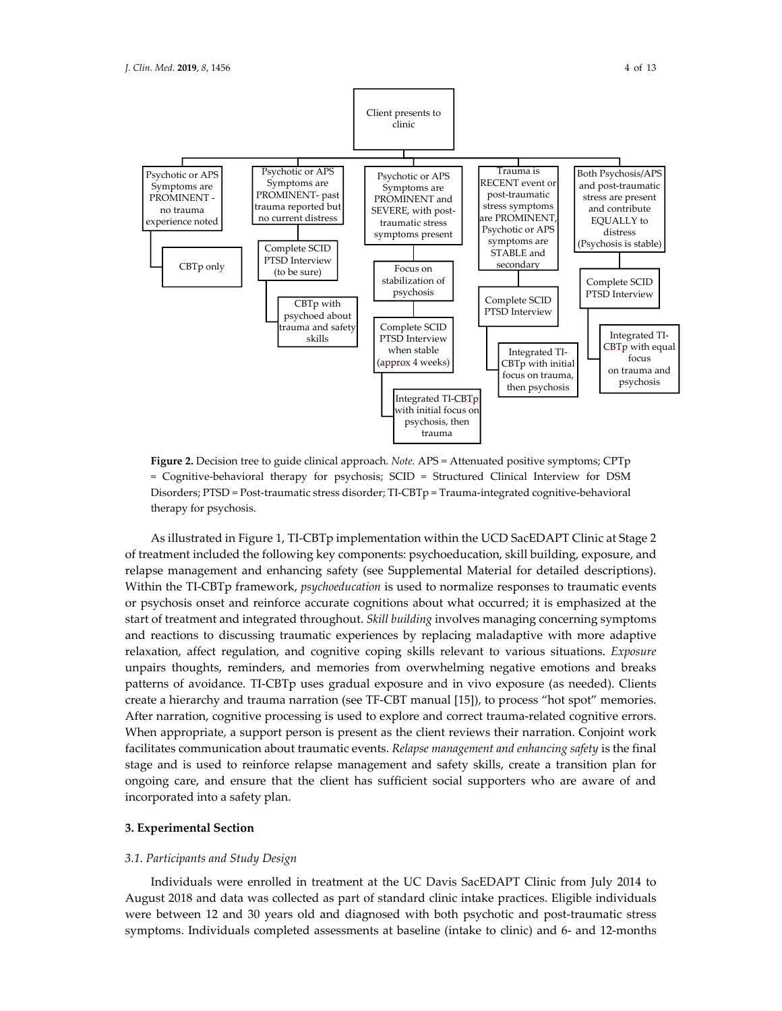



**Figure 2.** Decision tree to guide clinical approach. *Note.* APS = Attenuated positive symptoms; CPTp = Cognitive-behavioral therapy for psychosis; SCID = Structured Clinical Interview for DSM Disorders; PTSD = Post-traumatic stress disorder; TI-CBTp = Trauma-integrated cognitive-behavioral therapy for psychosis.

As illustrated in Figure 1, TI-CBTp implementation within the UCD SacEDAPT Clinic at Stage 2 of treatment included the following key components: psychoeducation, skill building, exposure, and relapse management and enhancing safety (see Supplemental Material for detailed descriptions). Within the TI-CBTp framework, *psychoeducation* is used to normalize responses to traumatic events or psychosis onset and reinforce accurate cognitions about what occurred; it is emphasized at the start of treatment and integrated throughout. *Skill building* involves managing concerning symptoms and reactions to discussing traumatic experiences by replacing maladaptive with more adaptive relaxation, affect regulation, and cognitive coping skills relevant to various situations. *Exposure*  unpairs thoughts, reminders, and memories from overwhelming negative emotions and breaks patterns of avoidance. TI-CBTp uses gradual exposure and in vivo exposure (as needed). Clients create a hierarchy and trauma narration (see TF-CBT manual [15]), to process "hot spot" memories. After narration, cognitive processing is used to explore and correct trauma-related cognitive errors. When appropriate, a support person is present as the client reviews their narration. Conjoint work facilitates communication about traumatic events. *Relapse management and enhancing safety* is the final stage and is used to reinforce relapse management and safety skills, create a transition plan for ongoing care, and ensure that the client has sufficient social supporters who are aware of and incorporated into a safety plan.

### **3. Experimental Section**

### *3.1. Participants and Study Design*

Individuals were enrolled in treatment at the UC Davis SacEDAPT Clinic from July 2014 to August 2018 and data was collected as part of standard clinic intake practices. Eligible individuals were between 12 and 30 years old and diagnosed with both psychotic and post-traumatic stress symptoms. Individuals completed assessments at baseline (intake to clinic) and 6- and 12-months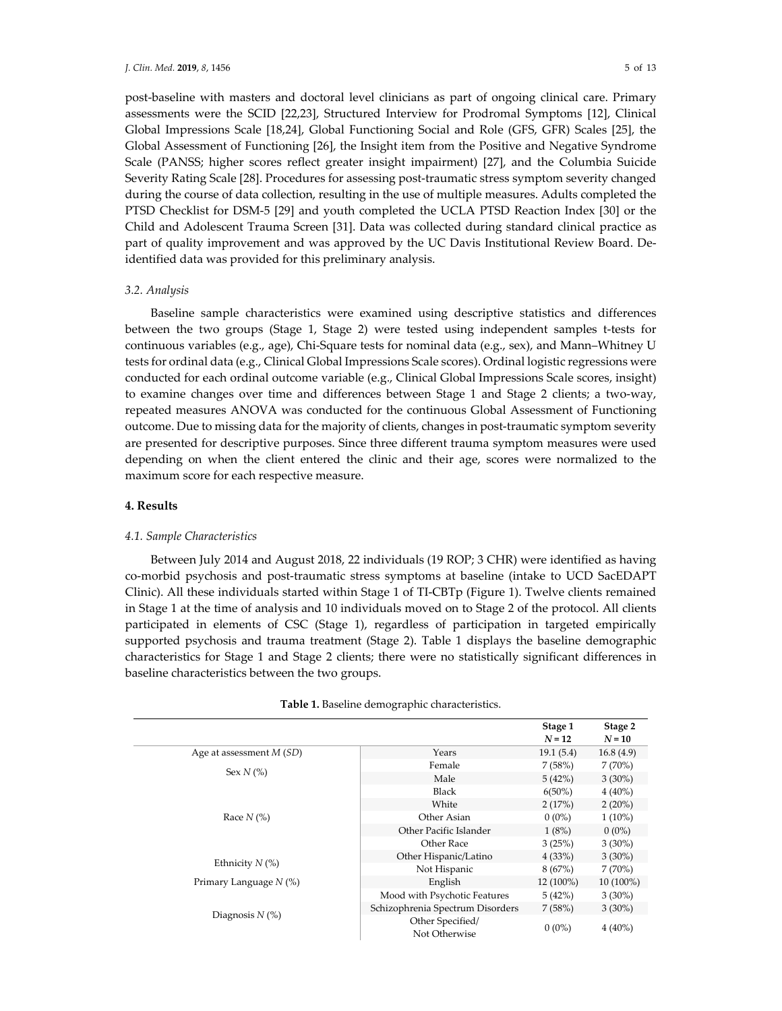post-baseline with masters and doctoral level clinicians as part of ongoing clinical care. Primary assessments were the SCID [22,23], Structured Interview for Prodromal Symptoms [12], Clinical Global Impressions Scale [18,24], Global Functioning Social and Role (GFS, GFR) Scales [25], the Global Assessment of Functioning [26], the Insight item from the Positive and Negative Syndrome Scale (PANSS; higher scores reflect greater insight impairment) [27], and the Columbia Suicide Severity Rating Scale [28]. Procedures for assessing post-traumatic stress symptom severity changed during the course of data collection, resulting in the use of multiple measures. Adults completed the PTSD Checklist for DSM-5 [29] and youth completed the UCLA PTSD Reaction Index [30] or the Child and Adolescent Trauma Screen [31]. Data was collected during standard clinical practice as part of quality improvement and was approved by the UC Davis Institutional Review Board. Deidentified data was provided for this preliminary analysis.

#### *3.2. Analysis*

Baseline sample characteristics were examined using descriptive statistics and differences between the two groups (Stage 1, Stage 2) were tested using independent samples t-tests for continuous variables (e.g., age), Chi-Square tests for nominal data (e.g., sex), and Mann–Whitney U tests for ordinal data (e.g., Clinical Global Impressions Scale scores). Ordinal logistic regressions were conducted for each ordinal outcome variable (e.g., Clinical Global Impressions Scale scores, insight) to examine changes over time and differences between Stage 1 and Stage 2 clients; a two-way, repeated measures ANOVA was conducted for the continuous Global Assessment of Functioning outcome. Due to missing data for the majority of clients, changes in post-traumatic symptom severity are presented for descriptive purposes. Since three different trauma symptom measures were used depending on when the client entered the clinic and their age, scores were normalized to the maximum score for each respective measure.

## **4. Results**

#### *4.1. Sample Characteristics*

Between July 2014 and August 2018, 22 individuals (19 ROP; 3 CHR) were identified as having co-morbid psychosis and post-traumatic stress symptoms at baseline (intake to UCD SacEDAPT Clinic). All these individuals started within Stage 1 of TI-CBTp (Figure 1). Twelve clients remained in Stage 1 at the time of analysis and 10 individuals moved on to Stage 2 of the protocol. All clients participated in elements of CSC (Stage 1), regardless of participation in targeted empirically supported psychosis and trauma treatment (Stage 2). Table 1 displays the baseline demographic characteristics for Stage 1 and Stage 2 clients; there were no statistically significant differences in baseline characteristics between the two groups.

|                           |                                   | Stage 1<br>$N = 12$ | Stage 2<br>$N = 10$ |
|---------------------------|-----------------------------------|---------------------|---------------------|
| Age at assessment $M(SD)$ | Years                             | 19.1(5.4)           | 16.8(4.9)           |
| Sex $N$ (%)               | Female                            | 7(58%)              | 7(70%)              |
|                           | Male                              | 5(42%)              | $3(30\%)$           |
| Race $N$ (%)              | Black                             | $6(50\%)$           | $4(40\%)$           |
|                           | White                             | 2(17%)              | $2(20\%)$           |
|                           | Other Asian                       | $0(0\%)$            | $1(10\%)$           |
|                           | Other Pacific Islander            | 1(8%)               | $0(0\%)$            |
|                           | Other Race                        | 3(25%)              | $3(30\%)$           |
|                           | Other Hispanic/Latino             | 4(33%)              | $3(30\%)$           |
| Ethnicity $N$ (%)         | Not Hispanic                      | 8(67%)              | 7(70%)              |
| Primary Language $N$ (%)  | English                           | 12 (100%)           | $10(100\%)$         |
|                           | Mood with Psychotic Features      | 5(42%)              | $3(30\%)$           |
|                           | Schizophrenia Spectrum Disorders  | 7(58%)              | $3(30\%)$           |
| Diagnosis $N$ (%)         | Other Specified/<br>Not Otherwise | $0(0\%)$            | $4(40\%)$           |

#### **Table 1.** Baseline demographic characteristics.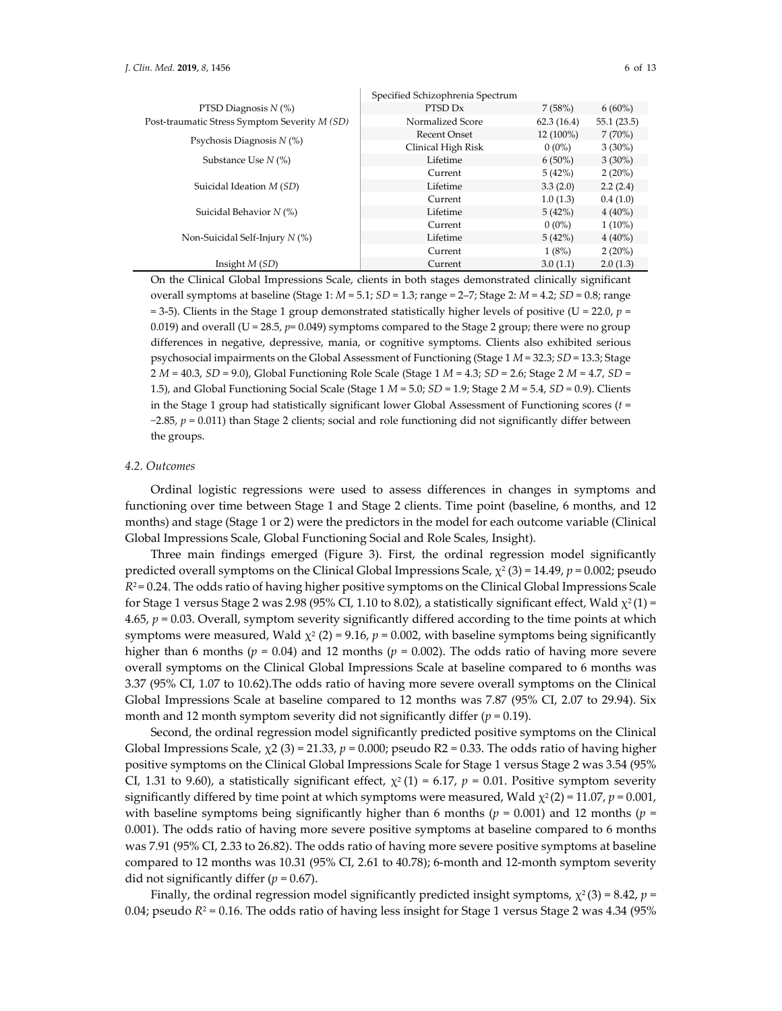|                                               | Specified Schizophrenia Spectrum |             |            |
|-----------------------------------------------|----------------------------------|-------------|------------|
| PTSD Diagnosis $N$ (%)                        | PTSD Dx                          | 7(58%)      | $6(60\%)$  |
| Post-traumatic Stress Symptom Severity M (SD) | Normalized Score                 | 62.3(16.4)  | 55.1(23.5) |
| Psychosis Diagnosis $N$ (%)                   | Recent Onset                     | $12(100\%)$ | 7(70%)     |
|                                               | Clinical High Risk               | $0(0\%)$    | $3(30\%)$  |
| Substance Use $N$ (%)                         | Lifetime                         | $6(50\%)$   | $3(30\%)$  |
| Suicidal Ideation M (SD)                      | Current                          | 5(42%)      | 2(20%)     |
|                                               | Lifetime                         | 3.3(2.0)    | 2.2(2.4)   |
|                                               | Current                          | 1.0(1.3)    | 0.4(1.0)   |
| Suicidal Behavior $N$ (%)                     | Lifetime                         | 5(42%)      | $4(40\%)$  |
|                                               | Current                          | $0(0\%)$    | $1(10\%)$  |
| Non-Suicidal Self-Injury $N$ (%)              | Lifetime                         | 5(42%)      | $4(40\%)$  |
|                                               | Current                          | 1(8%)       | 2(20%)     |
| Insight $M(SD)$                               | Current                          | 3.0(1.1)    | 2.0(1.3)   |

On the Clinical Global Impressions Scale, clients in both stages demonstrated clinically significant overall symptoms at baseline (Stage 1: *M* = 5.1; *SD* = 1.3; range = 2–7; Stage 2: *M* = 4.2; *SD* = 0.8; range  $=$  3-5). Clients in the Stage 1 group demonstrated statistically higher levels of positive (U = 22.0,  $p =$ 0.019) and overall ( $U = 28.5$ ,  $p= 0.049$ ) symptoms compared to the Stage 2 group; there were no group differences in negative, depressive, mania, or cognitive symptoms. Clients also exhibited serious psychosocial impairments on the Global Assessment of Functioning (Stage 1 *M* = 32.3; *SD* = 13.3; Stage 2 *M* = 40.3, *SD* = 9.0), Global Functioning Role Scale (Stage 1 *M* = 4.3; *SD* = 2.6; Stage 2 *M* = 4.7, *SD* = 1.5), and Global Functioning Social Scale (Stage 1 *M* = 5.0; *SD* = 1.9; Stage 2 *M* = 5.4, *SD* = 0.9). Clients in the Stage 1 group had statistically significant lower Global Assessment of Functioning scores (*t* = −2.85, *p* = 0.011) than Stage 2 clients; social and role functioning did not significantly differ between the groups.

#### *4.2. Outcomes*

Ordinal logistic regressions were used to assess differences in changes in symptoms and functioning over time between Stage 1 and Stage 2 clients. Time point (baseline, 6 months, and 12 months) and stage (Stage 1 or 2) were the predictors in the model for each outcome variable (Clinical Global Impressions Scale, Global Functioning Social and Role Scales, Insight).

Three main findings emerged (Figure 3). First, the ordinal regression model significantly predicted overall symptoms on the Clinical Global Impressions Scale, χ2 (3) = 14.49, *p* = 0.002; pseudo  $R^2 = 0.24$ . The odds ratio of having higher positive symptoms on the Clinical Global Impressions Scale for Stage 1 versus Stage 2 was 2.98 (95% CI, 1.10 to 8.02), a statistically significant effect, Wald  $\chi^2(1)$  = 4.65,  $p = 0.03$ . Overall, symptom severity significantly differed according to the time points at which symptoms were measured, Wald  $\chi^2$  (2) = 9.16, *p* = 0.002, with baseline symptoms being significantly higher than 6 months ( $p = 0.04$ ) and 12 months ( $p = 0.002$ ). The odds ratio of having more severe overall symptoms on the Clinical Global Impressions Scale at baseline compared to 6 months was 3.37 (95% CI, 1.07 to 10.62).The odds ratio of having more severe overall symptoms on the Clinical Global Impressions Scale at baseline compared to 12 months was 7.87 (95% CI, 2.07 to 29.94). Six month and 12 month symptom severity did not significantly differ  $(p = 0.19)$ .

Second, the ordinal regression model significantly predicted positive symptoms on the Clinical Global Impressions Scale, χ2 (3) = 21.33, *p* = 0.000; pseudo R2 = 0.33. The odds ratio of having higher positive symptoms on the Clinical Global Impressions Scale for Stage 1 versus Stage 2 was 3.54 (95% CI, 1.31 to 9.60), a statistically significant effect,  $\chi^2$  (1) = 6.17, *p* = 0.01. Positive symptom severity significantly differed by time point at which symptoms were measured, Wald  $\chi^2(2) = 11.07$ ,  $p = 0.001$ , with baseline symptoms being significantly higher than 6 months ( $p = 0.001$ ) and 12 months ( $p =$ 0.001). The odds ratio of having more severe positive symptoms at baseline compared to 6 months was 7.91 (95% CI, 2.33 to 26.82). The odds ratio of having more severe positive symptoms at baseline compared to 12 months was 10.31 (95% CI, 2.61 to 40.78); 6-month and 12-month symptom severity did not significantly differ (*p* = 0.67).

Finally, the ordinal regression model significantly predicted insight symptoms,  $\chi^2(3) = 8.42$ ,  $p =$ 0.04; pseudo  $R^2 = 0.16$ . The odds ratio of having less insight for Stage 1 versus Stage 2 was  $4.34$  (95%)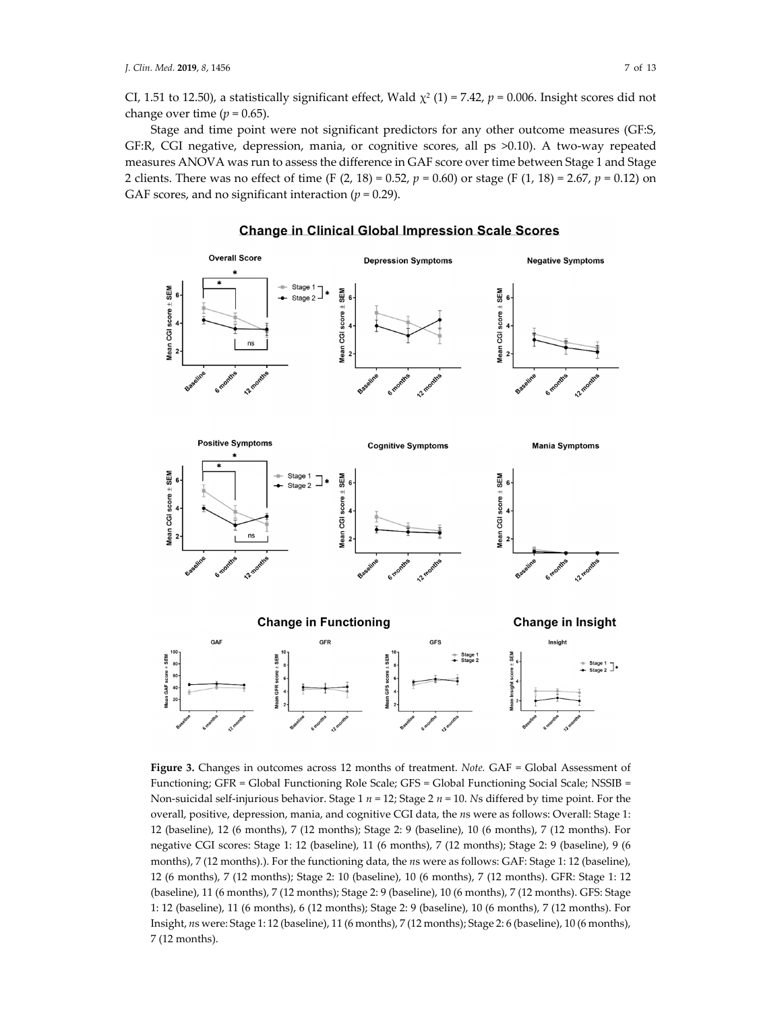CI, 1.51 to 12.50), a statistically significant effect, Wald  $\chi^2$  (1) = 7.42, *p* = 0.006. Insight scores did not change over time  $(p = 0.65)$ .

Stage and time point were not significant predictors for any other outcome measures (GF:S, GF:R, CGI negative, depression, mania, or cognitive scores, all ps >0.10). A two-way repeated measures ANOVA was run to assess the difference in GAF score over time between Stage 1 and Stage 2 clients. There was no effect of time (F (2, 18) = 0.52, *p* = 0.60) or stage (F (1, 18) = 2.67, *p* = 0.12) on GAF scores, and no significant interaction  $(p = 0.29)$ .



**Change in Clinical Global Impression Scale Scores** 

**Figure 3.** Changes in outcomes across 12 months of treatment. *Note.* GAF = Global Assessment of Functioning; GFR = Global Functioning Role Scale; GFS = Global Functioning Social Scale; NSSIB = Non-suicidal self-injurious behavior. Stage 1 *n* = 12; Stage 2 *n* = 10. *N*s differed by time point. For the overall, positive, depression, mania, and cognitive CGI data, the *n*s were as follows: Overall: Stage 1: 12 (baseline), 12 (6 months), 7 (12 months); Stage 2: 9 (baseline), 10 (6 months), 7 (12 months). For negative CGI scores: Stage 1: 12 (baseline), 11 (6 months), 7 (12 months); Stage 2: 9 (baseline), 9 (6 months), 7 (12 months).). For the functioning data, the *n*s were as follows: GAF: Stage 1: 12 (baseline), 12 (6 months), 7 (12 months); Stage 2: 10 (baseline), 10 (6 months), 7 (12 months). GFR: Stage 1: 12 (baseline), 11 (6 months), 7 (12 months); Stage 2: 9 (baseline), 10 (6 months), 7 (12 months). GFS: Stage 1: 12 (baseline), 11 (6 months), 6 (12 months); Stage 2: 9 (baseline), 10 (6 months), 7 (12 months). For Insight, *n*s were: Stage 1: 12 (baseline), 11 (6 months), 7 (12 months); Stage 2: 6 (baseline), 10 (6 months), 7 (12 months).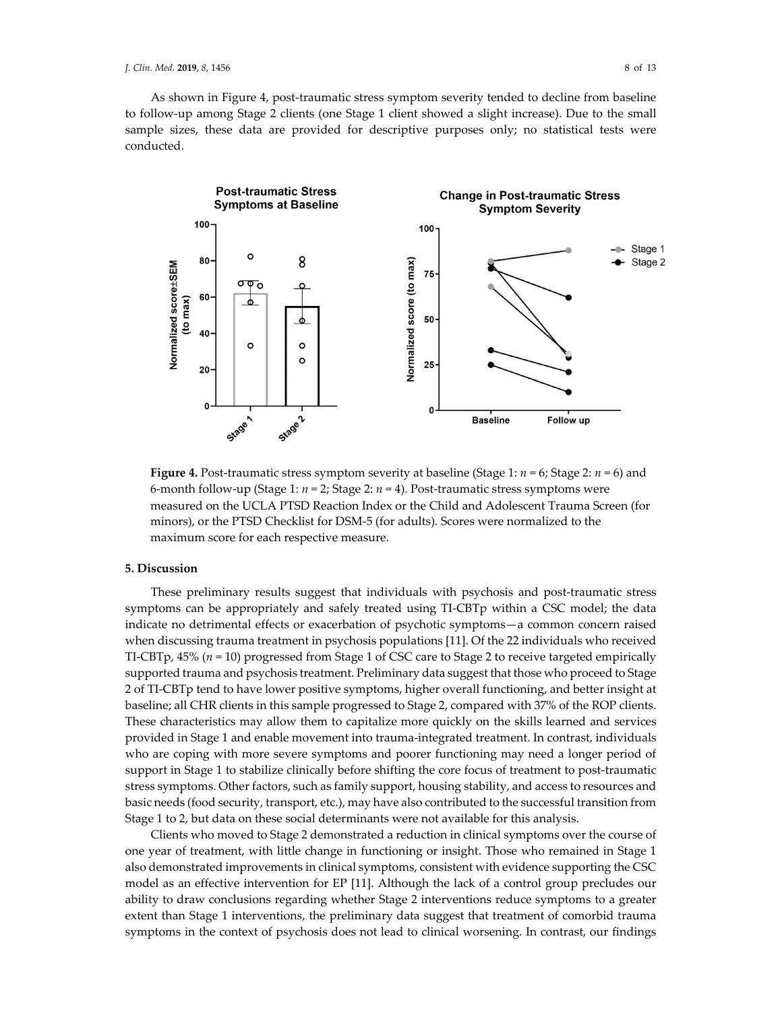As shown in Figure 4, post-traumatic stress symptom severity tended to decline from baseline to follow-up among Stage 2 clients (one Stage 1 client showed a slight increase). Due to the small sample sizes, these data are provided for descriptive purposes only; no statistical tests were conducted.



**Figure 4.** Post-traumatic stress symptom severity at baseline (Stage 1:  $n = 6$ ; Stage 2:  $n = 6$ ) and 6-month follow-up (Stage 1:  $n = 2$ ; Stage 2:  $n = 4$ ). Post-traumatic stress symptoms were measured on the UCLA PTSD Reaction Index or the Child and Adolescent Trauma Screen (for minors), or the PTSD Checklist for DSM-5 (for adults). Scores were normalized to the maximum score for each respective measure.

# **5. Discussion**

These preliminary results suggest that individuals with psychosis and post-traumatic stress symptoms can be appropriately and safely treated using TI-CBTp within a CSC model; the data indicate no detrimental effects or exacerbation of psychotic symptoms—a common concern raised when discussing trauma treatment in psychosis populations [11]. Of the 22 individuals who received TI-CBTp, 45% (*n* = 10) progressed from Stage 1 of CSC care to Stage 2 to receive targeted empirically supported trauma and psychosis treatment. Preliminary data suggest that those who proceed to Stage 2 of TI-CBTp tend to have lower positive symptoms, higher overall functioning, and better insight at baseline; all CHR clients in this sample progressed to Stage 2, compared with 37% of the ROP clients. These characteristics may allow them to capitalize more quickly on the skills learned and services provided in Stage 1 and enable movement into trauma-integrated treatment. In contrast, individuals who are coping with more severe symptoms and poorer functioning may need a longer period of support in Stage 1 to stabilize clinically before shifting the core focus of treatment to post-traumatic stress symptoms. Other factors, such as family support, housing stability, and access to resources and basic needs (food security, transport, etc.), may have also contributed to the successful transition from Stage 1 to 2, but data on these social determinants were not available for this analysis.

Clients who moved to Stage 2 demonstrated a reduction in clinical symptoms over the course of one year of treatment, with little change in functioning or insight. Those who remained in Stage 1 also demonstrated improvements in clinical symptoms, consistent with evidence supporting the CSC model as an effective intervention for EP [11]. Although the lack of a control group precludes our ability to draw conclusions regarding whether Stage 2 interventions reduce symptoms to a greater extent than Stage 1 interventions, the preliminary data suggest that treatment of comorbid trauma symptoms in the context of psychosis does not lead to clinical worsening. In contrast, our findings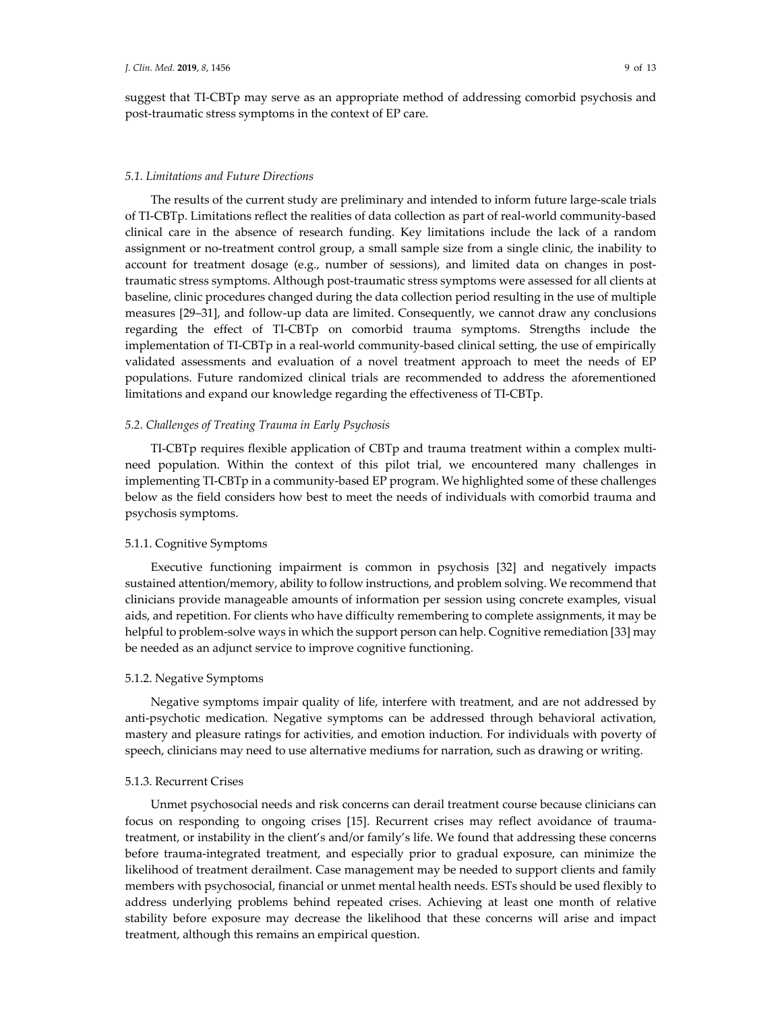suggest that TI-CBTp may serve as an appropriate method of addressing comorbid psychosis and post-traumatic stress symptoms in the context of EP care.

## *5.1. Limitations and Future Directions*

The results of the current study are preliminary and intended to inform future large-scale trials of TI-CBTp. Limitations reflect the realities of data collection as part of real-world community-based clinical care in the absence of research funding. Key limitations include the lack of a random assignment or no-treatment control group, a small sample size from a single clinic, the inability to account for treatment dosage (e.g., number of sessions), and limited data on changes in posttraumatic stress symptoms. Although post-traumatic stress symptoms were assessed for all clients at baseline, clinic procedures changed during the data collection period resulting in the use of multiple measures [29–31], and follow-up data are limited. Consequently, we cannot draw any conclusions regarding the effect of TI-CBTp on comorbid trauma symptoms. Strengths include the implementation of TI-CBTp in a real-world community-based clinical setting, the use of empirically validated assessments and evaluation of a novel treatment approach to meet the needs of EP populations. Future randomized clinical trials are recommended to address the aforementioned limitations and expand our knowledge regarding the effectiveness of TI-CBTp.

## *5.2. Challenges of Treating Trauma in Early Psychosis*

TI-CBTp requires flexible application of CBTp and trauma treatment within a complex multineed population. Within the context of this pilot trial, we encountered many challenges in implementing TI-CBTp in a community-based EP program. We highlighted some of these challenges below as the field considers how best to meet the needs of individuals with comorbid trauma and psychosis symptoms.

#### 5.1.1. Cognitive Symptoms

Executive functioning impairment is common in psychosis [32] and negatively impacts sustained attention/memory, ability to follow instructions, and problem solving. We recommend that clinicians provide manageable amounts of information per session using concrete examples, visual aids, and repetition. For clients who have difficulty remembering to complete assignments, it may be helpful to problem-solve ways in which the support person can help. Cognitive remediation [33] may be needed as an adjunct service to improve cognitive functioning.

#### 5.1.2. Negative Symptoms

Negative symptoms impair quality of life, interfere with treatment, and are not addressed by anti-psychotic medication. Negative symptoms can be addressed through behavioral activation, mastery and pleasure ratings for activities, and emotion induction. For individuals with poverty of speech, clinicians may need to use alternative mediums for narration, such as drawing or writing.

#### 5.1.3. Recurrent Crises

Unmet psychosocial needs and risk concerns can derail treatment course because clinicians can focus on responding to ongoing crises [15]. Recurrent crises may reflect avoidance of traumatreatment, or instability in the client's and/or family's life. We found that addressing these concerns before trauma-integrated treatment, and especially prior to gradual exposure, can minimize the likelihood of treatment derailment. Case management may be needed to support clients and family members with psychosocial, financial or unmet mental health needs. ESTs should be used flexibly to address underlying problems behind repeated crises. Achieving at least one month of relative stability before exposure may decrease the likelihood that these concerns will arise and impact treatment, although this remains an empirical question.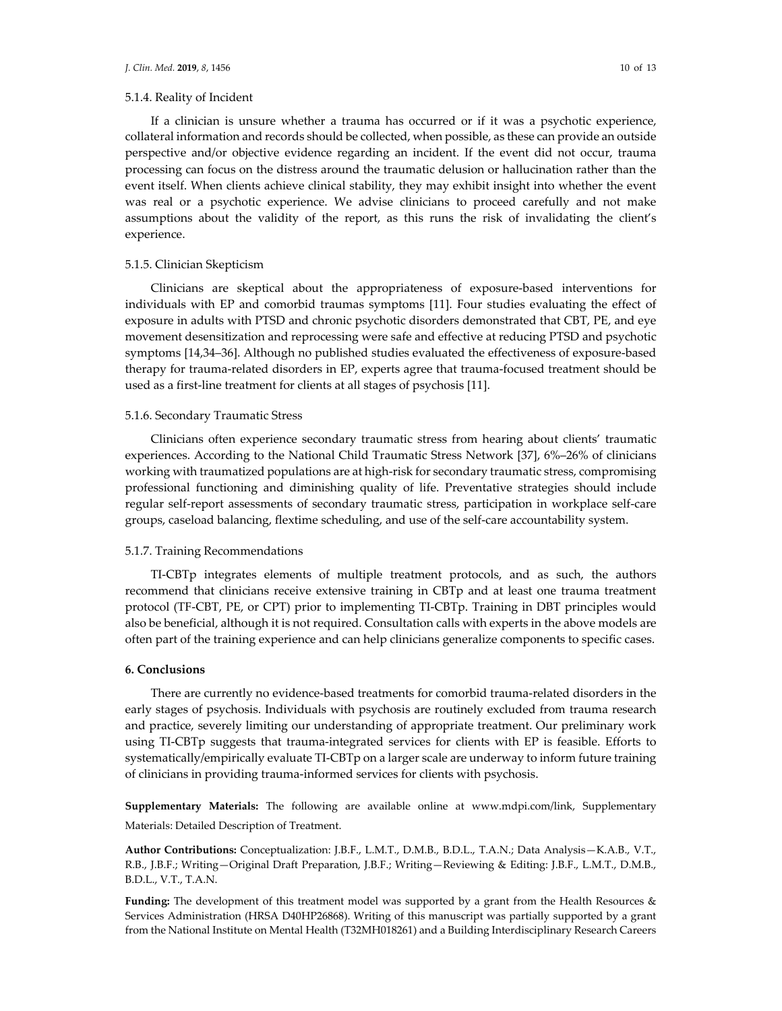# 5.1.4. Reality of Incident

If a clinician is unsure whether a trauma has occurred or if it was a psychotic experience, collateral information and records should be collected, when possible, as these can provide an outside perspective and/or objective evidence regarding an incident. If the event did not occur, trauma processing can focus on the distress around the traumatic delusion or hallucination rather than the event itself. When clients achieve clinical stability, they may exhibit insight into whether the event was real or a psychotic experience. We advise clinicians to proceed carefully and not make assumptions about the validity of the report, as this runs the risk of invalidating the client's experience.

## 5.1.5. Clinician Skepticism

Clinicians are skeptical about the appropriateness of exposure-based interventions for individuals with EP and comorbid traumas symptoms [11]. Four studies evaluating the effect of exposure in adults with PTSD and chronic psychotic disorders demonstrated that CBT, PE, and eye movement desensitization and reprocessing were safe and effective at reducing PTSD and psychotic symptoms [14,34–36]. Although no published studies evaluated the effectiveness of exposure-based therapy for trauma-related disorders in EP, experts agree that trauma-focused treatment should be used as a first-line treatment for clients at all stages of psychosis [11].

## 5.1.6. Secondary Traumatic Stress

Clinicians often experience secondary traumatic stress from hearing about clients' traumatic experiences. According to the National Child Traumatic Stress Network [37], 6%–26% of clinicians working with traumatized populations are at high-risk for secondary traumatic stress, compromising professional functioning and diminishing quality of life. Preventative strategies should include regular self-report assessments of secondary traumatic stress, participation in workplace self-care groups, caseload balancing, flextime scheduling, and use of the self-care accountability system.

#### 5.1.7. Training Recommendations

TI-CBTp integrates elements of multiple treatment protocols, and as such, the authors recommend that clinicians receive extensive training in CBTp and at least one trauma treatment protocol (TF-CBT, PE, or CPT) prior to implementing TI-CBTp. Training in DBT principles would also be beneficial, although it is not required. Consultation calls with experts in the above models are often part of the training experience and can help clinicians generalize components to specific cases.

#### **6. Conclusions**

There are currently no evidence-based treatments for comorbid trauma-related disorders in the early stages of psychosis. Individuals with psychosis are routinely excluded from trauma research and practice, severely limiting our understanding of appropriate treatment. Our preliminary work using TI-CBTp suggests that trauma-integrated services for clients with EP is feasible. Efforts to systematically/empirically evaluate TI-CBTp on a larger scale are underway to inform future training of clinicians in providing trauma-informed services for clients with psychosis.

**Supplementary Materials:** The following are available online at www.mdpi.com/link, Supplementary Materials: Detailed Description of Treatment.

**Author Contributions:** Conceptualization: J.B.F., L.M.T., D.M.B., B.D.L., T.A.N.; Data Analysis—K.A.B., V.T., R.B., J.B.F.; Writing—Original Draft Preparation, J.B.F.; Writing—Reviewing & Editing: J.B.F., L.M.T., D.M.B., B.D.L., V.T., T.A.N.

**Funding:** The development of this treatment model was supported by a grant from the Health Resources & Services Administration (HRSA D40HP26868). Writing of this manuscript was partially supported by a grant from the National Institute on Mental Health (T32MH018261) and a Building Interdisciplinary Research Careers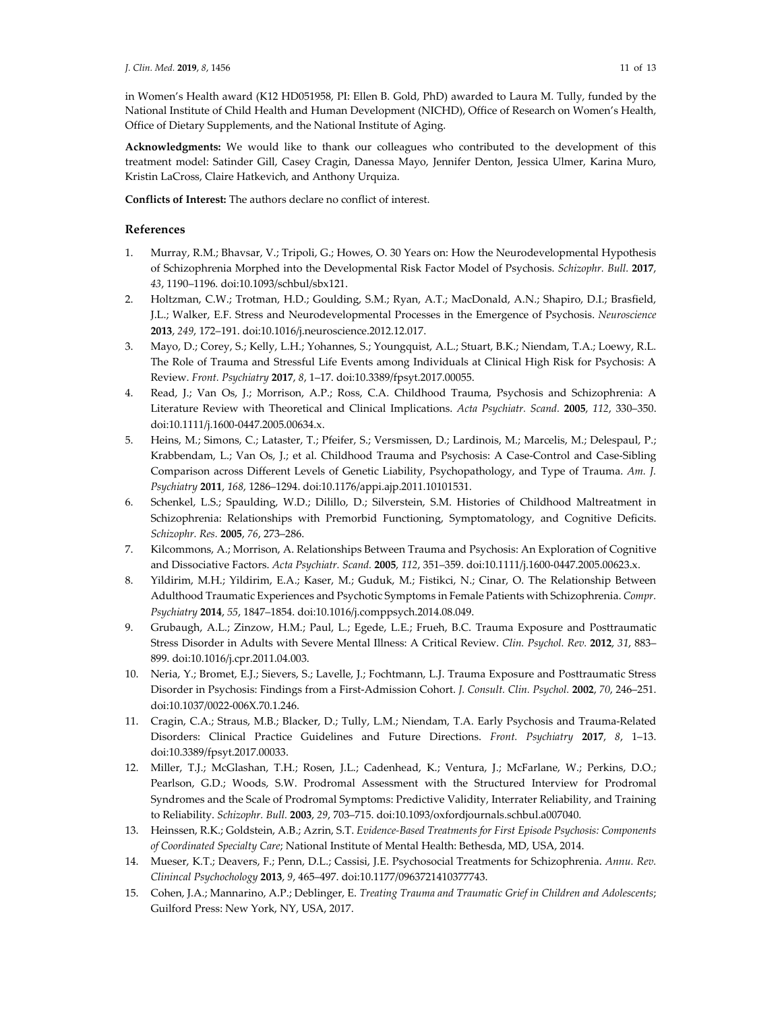in Women's Health award (K12 HD051958, PI: Ellen B. Gold, PhD) awarded to Laura M. Tully, funded by the National Institute of Child Health and Human Development (NICHD), Office of Research on Women's Health, Office of Dietary Supplements, and the National Institute of Aging.

**Acknowledgments:** We would like to thank our colleagues who contributed to the development of this treatment model: Satinder Gill, Casey Cragin, Danessa Mayo, Jennifer Denton, Jessica Ulmer, Karina Muro, Kristin LaCross, Claire Hatkevich, and Anthony Urquiza.

**Conflicts of Interest:** The authors declare no conflict of interest.

# **References**

- 1. Murray, R.M.; Bhavsar, V.; Tripoli, G.; Howes, O. 30 Years on: How the Neurodevelopmental Hypothesis of Schizophrenia Morphed into the Developmental Risk Factor Model of Psychosis. *Schizophr. Bull.* **2017**, *43*, 1190–1196. doi:10.1093/schbul/sbx121.
- 2. Holtzman, C.W.; Trotman, H.D.; Goulding, S.M.; Ryan, A.T.; MacDonald, A.N.; Shapiro, D.I.; Brasfield, J.L.; Walker, E.F. Stress and Neurodevelopmental Processes in the Emergence of Psychosis. *Neuroscience* **2013**, *249*, 172–191. doi:10.1016/j.neuroscience.2012.12.017.
- 3. Mayo, D.; Corey, S.; Kelly, L.H.; Yohannes, S.; Youngquist, A.L.; Stuart, B.K.; Niendam, T.A.; Loewy, R.L. The Role of Trauma and Stressful Life Events among Individuals at Clinical High Risk for Psychosis: A Review. *Front. Psychiatry* **2017**, *8*, 1–17. doi:10.3389/fpsyt.2017.00055.
- 4. Read, J.; Van Os, J.; Morrison, A.P.; Ross, C.A. Childhood Trauma, Psychosis and Schizophrenia: A Literature Review with Theoretical and Clinical Implications. *Acta Psychiatr. Scand.* **2005**, *112*, 330–350. doi:10.1111/j.1600-0447.2005.00634.x.
- 5. Heins, M.; Simons, C.; Lataster, T.; Pfeifer, S.; Versmissen, D.; Lardinois, M.; Marcelis, M.; Delespaul, P.; Krabbendam, L.; Van Os, J.; et al. Childhood Trauma and Psychosis: A Case-Control and Case-Sibling Comparison across Different Levels of Genetic Liability, Psychopathology, and Type of Trauma. *Am. J. Psychiatry* **2011**, *168*, 1286–1294. doi:10.1176/appi.ajp.2011.10101531.
- 6. Schenkel, L.S.; Spaulding, W.D.; Dilillo, D.; Silverstein, S.M. Histories of Childhood Maltreatment in Schizophrenia: Relationships with Premorbid Functioning, Symptomatology, and Cognitive Deficits. *Schizophr. Res.* **2005**, *76*, 273–286.
- 7. Kilcommons, A.; Morrison, A. Relationships Between Trauma and Psychosis: An Exploration of Cognitive and Dissociative Factors. *Acta Psychiatr. Scand.* **2005**, *112*, 351–359. doi:10.1111/j.1600-0447.2005.00623.x.
- 8. Yildirim, M.H.; Yildirim, E.A.; Kaser, M.; Guduk, M.; Fistikci, N.; Cinar, O. The Relationship Between Adulthood Traumatic Experiences and Psychotic Symptoms in Female Patients with Schizophrenia. *Compr. Psychiatry* **2014**, *55*, 1847–1854. doi:10.1016/j.comppsych.2014.08.049.
- 9. Grubaugh, A.L.; Zinzow, H.M.; Paul, L.; Egede, L.E.; Frueh, B.C. Trauma Exposure and Posttraumatic Stress Disorder in Adults with Severe Mental Illness: A Critical Review. *Clin. Psychol. Rev.* **2012**, *31*, 883– 899. doi:10.1016/j.cpr.2011.04.003.
- 10. Neria, Y.; Bromet, E.J.; Sievers, S.; Lavelle, J.; Fochtmann, L.J. Trauma Exposure and Posttraumatic Stress Disorder in Psychosis: Findings from a First-Admission Cohort. *J. Consult. Clin. Psychol.* **2002**, *70*, 246–251. doi:10.1037/0022-006X.70.1.246.
- 11. Cragin, C.A.; Straus, M.B.; Blacker, D.; Tully, L.M.; Niendam, T.A. Early Psychosis and Trauma-Related Disorders: Clinical Practice Guidelines and Future Directions. *Front. Psychiatry* **2017**, *8*, 1–13. doi:10.3389/fpsyt.2017.00033.
- 12. Miller, T.J.; McGlashan, T.H.; Rosen, J.L.; Cadenhead, K.; Ventura, J.; McFarlane, W.; Perkins, D.O.; Pearlson, G.D.; Woods, S.W. Prodromal Assessment with the Structured Interview for Prodromal Syndromes and the Scale of Prodromal Symptoms: Predictive Validity, Interrater Reliability, and Training to Reliability. *Schizophr. Bull.* **2003**, *29*, 703–715. doi:10.1093/oxfordjournals.schbul.a007040.
- 13. Heinssen, R.K.; Goldstein, A.B.; Azrin, S.T. *Evidence-Based Treatments for First Episode Psychosis: Components of Coordinated Specialty Care*; National Institute of Mental Health: Bethesda, MD, USA, 2014.
- 14. Mueser, K.T.; Deavers, F.; Penn, D.L.; Cassisi, J.E. Psychosocial Treatments for Schizophrenia. *Annu. Rev. Clinincal Psychochology* **2013**, *9*, 465–497. doi:10.1177/0963721410377743.
- 15. Cohen, J.A.; Mannarino, A.P.; Deblinger, E. *Treating Trauma and Traumatic Grief in Children and Adolescents*; Guilford Press: New York, NY, USA, 2017.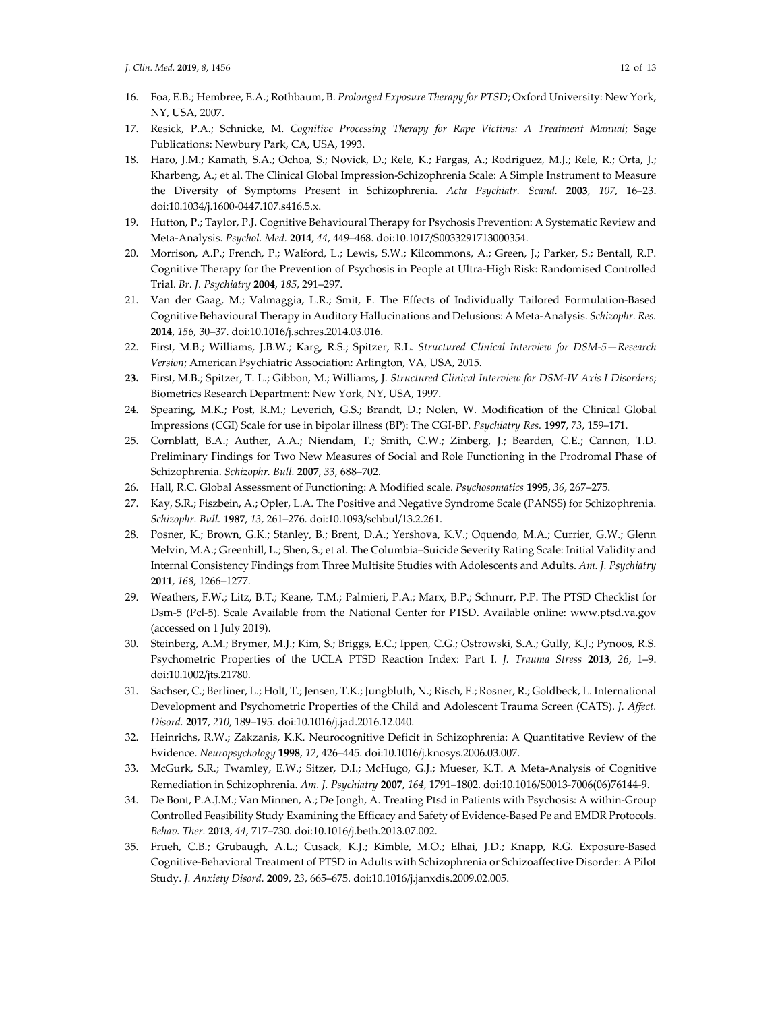- 16. Foa, E.B.; Hembree, E.A.; Rothbaum, B. *Prolonged Exposure Therapy for PTSD*; Oxford University: New York, NY, USA, 2007.
- 17. Resick, P.A.; Schnicke, M. *Cognitive Processing Therapy for Rape Victims: A Treatment Manual*; Sage Publications: Newbury Park, CA, USA, 1993.
- 18. Haro, J.M.; Kamath, S.A.; Ochoa, S.; Novick, D.; Rele, K.; Fargas, A.; Rodriguez, M.J.; Rele, R.; Orta, J.; Kharbeng, A.; et al. The Clinical Global Impression-Schizophrenia Scale: A Simple Instrument to Measure the Diversity of Symptoms Present in Schizophrenia. *Acta Psychiatr. Scand.* **2003**, *107*, 16–23. doi:10.1034/j.1600-0447.107.s416.5.x.
- 19. Hutton, P.; Taylor, P.J. Cognitive Behavioural Therapy for Psychosis Prevention: A Systematic Review and Meta-Analysis. *Psychol. Med.* **2014**, *44*, 449–468. doi:10.1017/S0033291713000354.
- 20. Morrison, A.P.; French, P.; Walford, L.; Lewis, S.W.; Kilcommons, A.; Green, J.; Parker, S.; Bentall, R.P. Cognitive Therapy for the Prevention of Psychosis in People at Ultra-High Risk: Randomised Controlled Trial. *Br. J. Psychiatry* **2004**, *185*, 291–297.
- 21. Van der Gaag, M.; Valmaggia, L.R.; Smit, F. The Effects of Individually Tailored Formulation-Based Cognitive Behavioural Therapy in Auditory Hallucinations and Delusions: A Meta-Analysis. *Schizophr. Res.* **2014**, *156*, 30–37. doi:10.1016/j.schres.2014.03.016.
- 22. First, M.B.; Williams, J.B.W.; Karg, R.S.; Spitzer, R.L. *Structured Clinical Interview for DSM-5—Research Version*; American Psychiatric Association: Arlington, VA, USA, 2015.
- **23.** First, M.B.; Spitzer, T. L.; Gibbon, M.; Williams, J. *Structured Clinical Interview for DSM-IV Axis I Disorders*; Biometrics Research Department: New York, NY, USA, 1997.
- 24. Spearing, M.K.; Post, R.M.; Leverich, G.S.; Brandt, D.; Nolen, W. Modification of the Clinical Global Impressions (CGI) Scale for use in bipolar illness (BP): The CGI-BP. *Psychiatry Res.* **1997**, *73*, 159–171.
- 25. Cornblatt, B.A.; Auther, A.A.; Niendam, T.; Smith, C.W.; Zinberg, J.; Bearden, C.E.; Cannon, T.D. Preliminary Findings for Two New Measures of Social and Role Functioning in the Prodromal Phase of Schizophrenia. *Schizophr. Bull.* **2007**, *33*, 688–702.
- 26. Hall, R.C. Global Assessment of Functioning: A Modified scale. *Psychosomatics* **1995**, *36*, 267–275.
- 27. Kay, S.R.; Fiszbein, A.; Opler, L.A. The Positive and Negative Syndrome Scale (PANSS) for Schizophrenia. *Schizophr. Bull.* **1987**, *13*, 261–276. doi:10.1093/schbul/13.2.261.
- 28. Posner, K.; Brown, G.K.; Stanley, B.; Brent, D.A.; Yershova, K.V.; Oquendo, M.A.; Currier, G.W.; Glenn Melvin, M.A.; Greenhill, L.; Shen, S.; et al. The Columbia–Suicide Severity Rating Scale: Initial Validity and Internal Consistency Findings from Three Multisite Studies with Adolescents and Adults. *Am. J. Psychiatry* **2011**, *168*, 1266–1277.
- 29. Weathers, F.W.; Litz, B.T.; Keane, T.M.; Palmieri, P.A.; Marx, B.P.; Schnurr, P.P. The PTSD Checklist for Dsm-5 (Pcl-5). Scale Available from the National Center for PTSD. Available online: www.ptsd.va.gov (accessed on 1 July 2019).
- 30. Steinberg, A.M.; Brymer, M.J.; Kim, S.; Briggs, E.C.; Ippen, C.G.; Ostrowski, S.A.; Gully, K.J.; Pynoos, R.S. Psychometric Properties of the UCLA PTSD Reaction Index: Part I. *J. Trauma Stress* **2013**, *26*, 1–9. doi:10.1002/jts.21780.
- 31. Sachser, C.; Berliner, L.; Holt, T.; Jensen, T.K.; Jungbluth, N.; Risch, E.; Rosner, R.; Goldbeck, L. International Development and Psychometric Properties of the Child and Adolescent Trauma Screen (CATS). *J. Affect. Disord.* **2017**, *210*, 189–195. doi:10.1016/j.jad.2016.12.040.
- 32. Heinrichs, R.W.; Zakzanis, K.K. Neurocognitive Deficit in Schizophrenia: A Quantitative Review of the Evidence. *Neuropsychology* **1998**, *12*, 426–445. doi:10.1016/j.knosys.2006.03.007.
- 33. McGurk, S.R.; Twamley, E.W.; Sitzer, D.I.; McHugo, G.J.; Mueser, K.T. A Meta-Analysis of Cognitive Remediation in Schizophrenia. *Am. J. Psychiatry* **2007**, *164*, 1791–1802. doi:10.1016/S0013-7006(06)76144-9.
- 34. De Bont, P.A.J.M.; Van Minnen, A.; De Jongh, A. Treating Ptsd in Patients with Psychosis: A within-Group Controlled Feasibility Study Examining the Efficacy and Safety of Evidence-Based Pe and EMDR Protocols. *Behav. Ther.* **2013**, *44*, 717–730. doi:10.1016/j.beth.2013.07.002.
- 35. Frueh, C.B.; Grubaugh, A.L.; Cusack, K.J.; Kimble, M.O.; Elhai, J.D.; Knapp, R.G. Exposure-Based Cognitive-Behavioral Treatment of PTSD in Adults with Schizophrenia or Schizoaffective Disorder: A Pilot Study. *J. Anxiety Disord.* **2009**, *23*, 665–675. doi:10.1016/j.janxdis.2009.02.005.